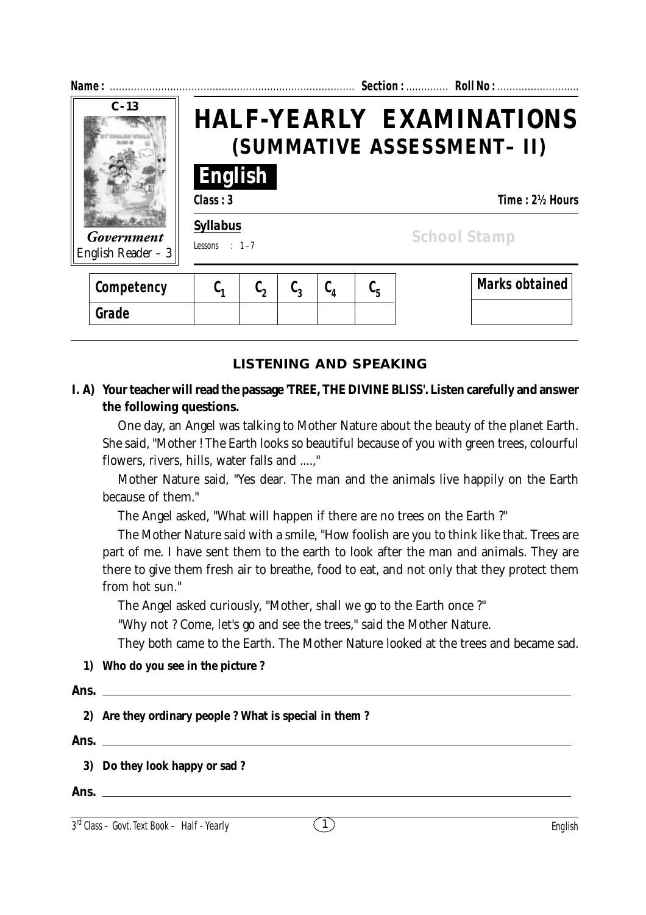| Name:                             |          |                                                                                 |                  |               |                               |                       |  |  |
|-----------------------------------|----------|---------------------------------------------------------------------------------|------------------|---------------|-------------------------------|-----------------------|--|--|
| $C - 13$                          |          | <b>HALF-YEARLY EXAMINATIONS</b><br>(SUMMATIVE ASSESSMENT- II)<br><b>English</b> |                  |               |                               |                       |  |  |
|                                   | Class: 3 |                                                                                 |                  |               |                               | Time: 2½ Hours        |  |  |
| Government<br>English Reader $-3$ |          | <b>Syllabus</b><br><b>School Stamp</b><br>Lessons : $1-7$                       |                  |               |                               |                       |  |  |
| Competency                        | $C_{1}$  | $\mathfrak{c}_2$                                                                | $\mathfrak{c}_3$ | $C_{\Lambda}$ | $\mathfrak{c}_{\mathfrak{s}}$ | <b>Marks obtained</b> |  |  |
| Grade                             |          |                                                                                 |                  |               |                               |                       |  |  |

# **LISTENING AND SPEAKING**

# **I. A) Your teacher will read the passage 'TREE, THE DIVINE BLISS'. Listen carefully and answer the following questions.**

One day, an Angel was talking to Mother Nature about the beauty of the planet Earth. She said, "Mother ! The Earth looks so beautiful because of you with green trees, colourful flowers, rivers, hills, water falls and ....,"

Mother Nature said, "Yes dear. The man and the animals live happily on the Earth because of them."

The Angel asked, "What will happen if there are no trees on the Earth ?"

The Mother Nature said with a smile, "How foolish are you to think like that. Trees are part of me. I have sent them to the earth to look after the man and animals. They are there to give them fresh air to breathe, food to eat, and not only that they protect them from hot sun."

The Angel asked curiously, "Mother, shall we go to the Earth once ?"

"Why not ? Come, let's go and see the trees," said the Mother Nature.

They both came to the Earth. The Mother Nature looked at the trees and became sad.

#### **1) Who do you see in the picture ?**

| Ans.                                                    |
|---------------------------------------------------------|
| 2) Are they ordinary people ? What is special in them ? |
|                                                         |
| 3) Do they look happy or sad ?                          |
|                                                         |

**Ans.**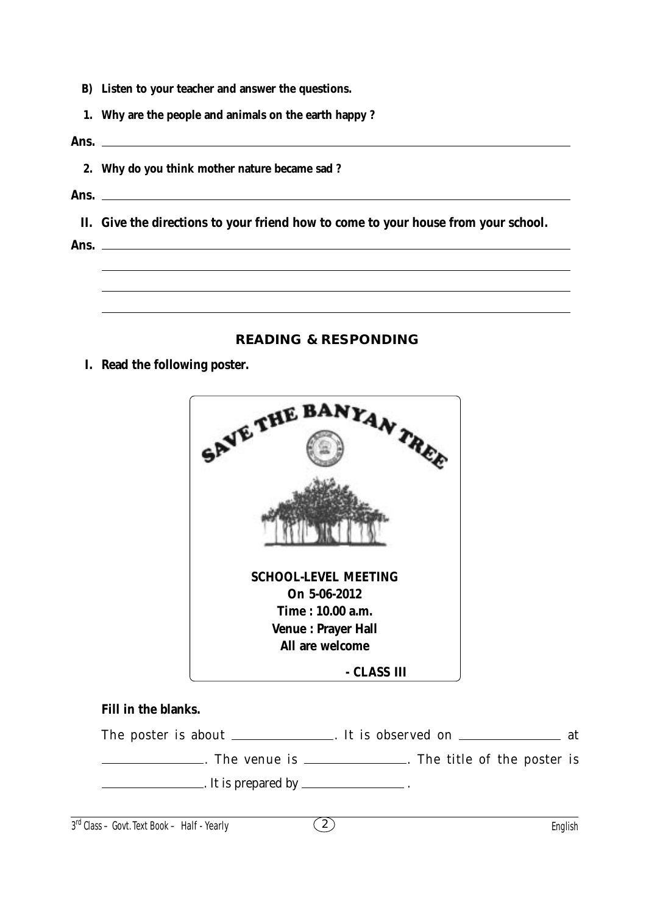- **B) Listen to your teacher and answer the questions.**
- **1. Why are the people and animals on the earth happy ?**
- **Ans.**
	- **2. Why do you think mother nature became sad ?**
- **Ans.**

**II. Give the directions to your friend how to come to your house from your school.**

**Ans.**

### **READING & RESPONDING**

**I. Read the following poster.**



### **Fill in the blanks.**

The poster is about \_\_\_\_\_\_\_\_\_\_\_\_\_. It is observed on \_\_\_\_\_\_\_\_\_\_\_\_\_\_\_\_\_\_\_\_ at . The venue is . The title of the poster is

 $\frac{1}{1}$ . It is prepared by  $\frac{1}{1}$ .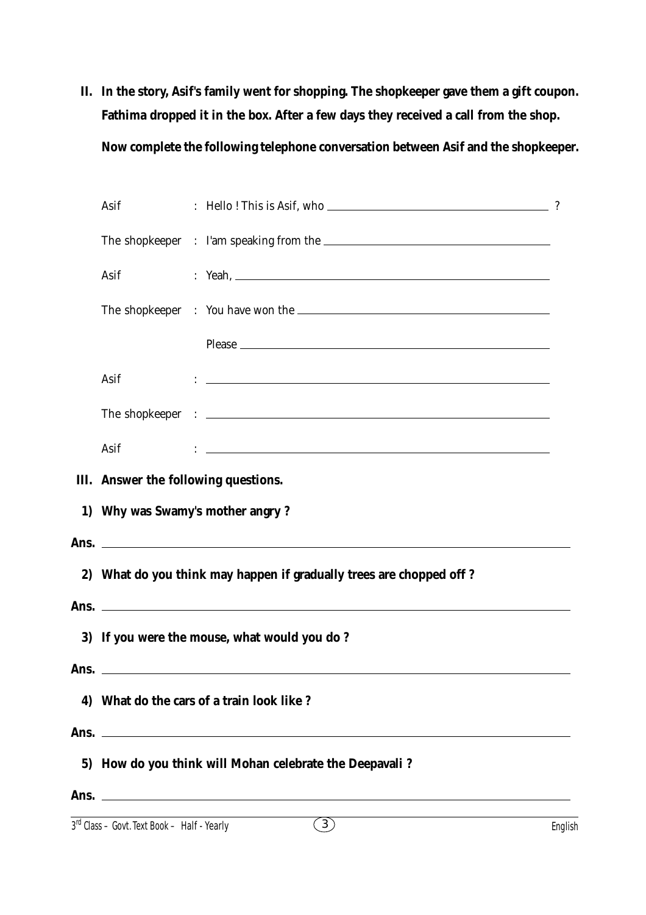**II. In the story, Asif's family went for shopping. The shopkeeper gave them a gift coupon. Fathima dropped it in the box. After a few days they received a call from the shop. Now complete the following telephone conversation between Asif and the shopkeeper.**

|    | Asif                                                 |  |                                                                                                                                                                                                                                        | $\gamma$ |  |  |
|----|------------------------------------------------------|--|----------------------------------------------------------------------------------------------------------------------------------------------------------------------------------------------------------------------------------------|----------|--|--|
|    |                                                      |  |                                                                                                                                                                                                                                        |          |  |  |
|    | Asif                                                 |  | : Yeah.                                                                                                                                                                                                                                |          |  |  |
|    |                                                      |  |                                                                                                                                                                                                                                        |          |  |  |
|    |                                                      |  |                                                                                                                                                                                                                                        |          |  |  |
|    | Asif                                                 |  | $\mathbf{C}=\frac{1}{2}$ . The contract of the contract of the contract of the contract of the contract of the contract of the contract of the contract of the contract of the contract of the contract of the contract of the contrac |          |  |  |
|    |                                                      |  |                                                                                                                                                                                                                                        |          |  |  |
|    | Asif                                                 |  | $\ddot{\phantom{a}}$ . The contraction of the contract of the contract of the contract of the contract of the contract of the contract of the contract of the contract of the contract of the contract of the contract of the contract |          |  |  |
|    | III. Answer the following questions.                 |  |                                                                                                                                                                                                                                        |          |  |  |
|    | 1) Why was Swamy's mother angry?                     |  |                                                                                                                                                                                                                                        |          |  |  |
|    |                                                      |  |                                                                                                                                                                                                                                        |          |  |  |
|    |                                                      |  | 2) What do you think may happen if gradually trees are chopped off?                                                                                                                                                                    |          |  |  |
|    |                                                      |  |                                                                                                                                                                                                                                        |          |  |  |
|    |                                                      |  | 3) If you were the mouse, what would you do?                                                                                                                                                                                           |          |  |  |
|    |                                                      |  | Ans.                                                                                                                                                                                                                                   |          |  |  |
| 4) |                                                      |  | What do the cars of a train look like?                                                                                                                                                                                                 |          |  |  |
|    |                                                      |  |                                                                                                                                                                                                                                        |          |  |  |
| 5) | How do you think will Mohan celebrate the Deepavali? |  |                                                                                                                                                                                                                                        |          |  |  |
|    |                                                      |  |                                                                                                                                                                                                                                        |          |  |  |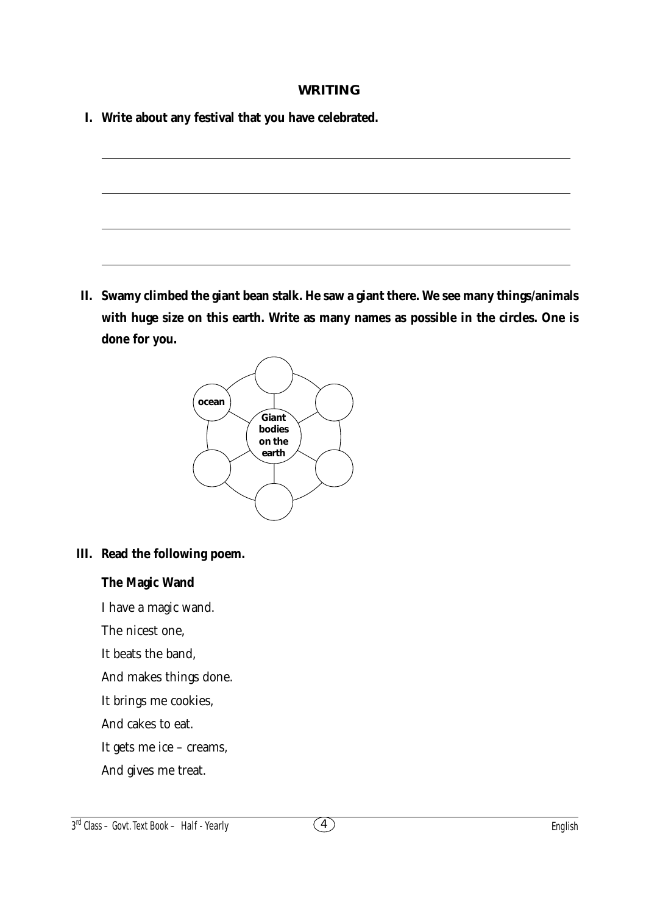#### **WRITING**

- **I. Write about any festival that you have celebrated.**
- **II. Swamy climbed the giant bean stalk. He saw a giant there. We see many things/animals**
- **with huge size on this earth. Write as many names as possible in the circles. One is done for you.**



# **III. Read the following poem.**

## **The Magic Wand**

I have a magic wand.

The nicest one,

It beats the band,

And makes things done.

It brings me cookies,

And cakes to eat.

It gets me ice – creams,

And gives me treat.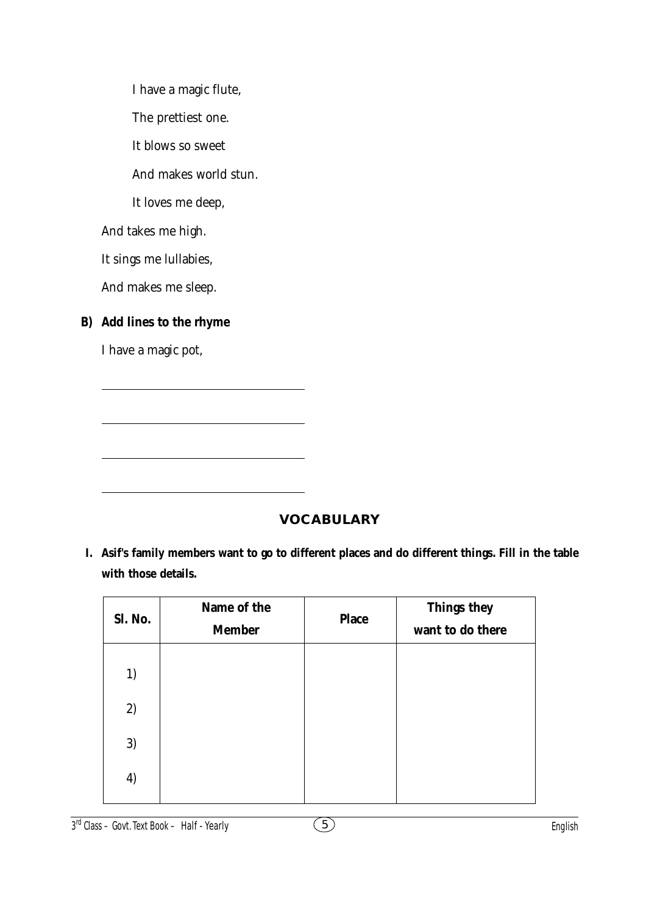I have a magic flute, The prettiest one. It blows so sweet And makes world stun. It loves me deep, And takes me high. It sings me lullabies, And makes me sleep. **B) Add lines to the rhyme** I have a magic pot,

 **VOCABULARY**

**I. Asif's family members want to go to different places and do different things. Fill in the table with those details.**

| Sl. No.           | Name of the<br><b>Member</b> | <b>Place</b> | Things they<br>want to do there |
|-------------------|------------------------------|--------------|---------------------------------|
| 1)                |                              |              |                                 |
| 2)                |                              |              |                                 |
| 3)                |                              |              |                                 |
| $\left( 4\right)$ |                              |              |                                 |